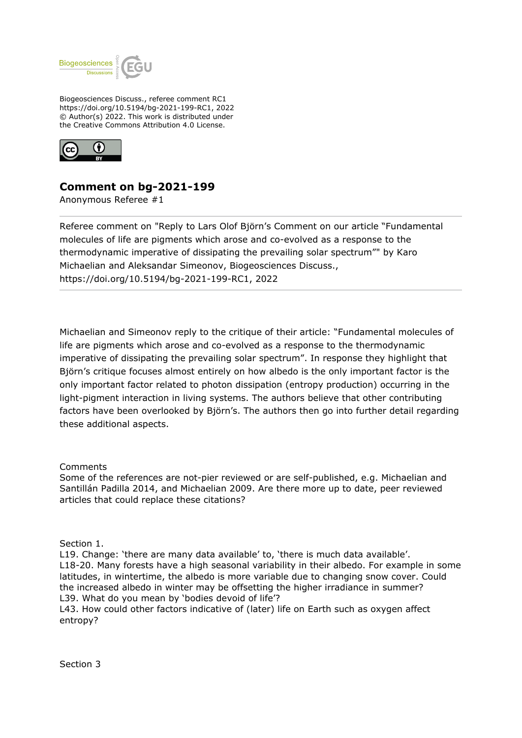

Biogeosciences Discuss., referee comment RC1 https://doi.org/10.5194/bg-2021-199-RC1, 2022 © Author(s) 2022. This work is distributed under the Creative Commons Attribution 4.0 License.



## **Comment on bg-2021-199**

Anonymous Referee #1

Referee comment on "Reply to Lars Olof Björn's Comment on our article "Fundamental molecules of life are pigments which arose and co-evolved as a response to the thermodynamic imperative of dissipating the prevailing solar spectrum"" by Karo Michaelian and Aleksandar Simeonov, Biogeosciences Discuss., https://doi.org/10.5194/bg-2021-199-RC1, 2022

Michaelian and Simeonov reply to the critique of their article: "Fundamental molecules of life are pigments which arose and co-evolved as a response to the thermodynamic imperative of dissipating the prevailing solar spectrum". In response they highlight that Björn's critique focuses almost entirely on how albedo is the only important factor is the only important factor related to photon dissipation (entropy production) occurring in the light-pigment interaction in living systems. The authors believe that other contributing factors have been overlooked by Björn's. The authors then go into further detail regarding these additional aspects.

Comments

Some of the references are not-pier reviewed or are self-published, e.g. Michaelian and Santillán Padilla 2014, and Michaelian 2009. Are there more up to date, peer reviewed articles that could replace these citations?

Section 1.

L19. Change: 'there are many data available' to, 'there is much data available'. L18-20. Many forests have a high seasonal variability in their albedo. For example in some latitudes, in wintertime, the albedo is more variable due to changing snow cover. Could the increased albedo in winter may be offsetting the higher irradiance in summer? L39. What do you mean by 'bodies devoid of life'?

L43. How could other factors indicative of (later) life on Earth such as oxygen affect entropy?

Section 3